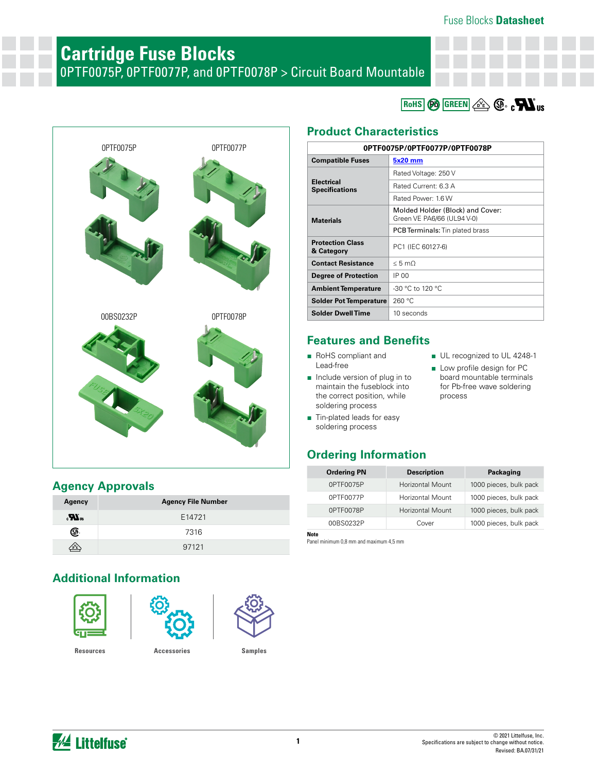#### Fuse Blocks **Datasheet**

# **Cartridge Fuse Blocks**

0PTF0075P, 0PTF0077P, and 0PTF0078P > Circuit Board Mountable

**RoHS**  $\circledcirc$  **GREEN**  $\circledcirc$   $\circledcirc$   $\circ$  **W** us

■ UL recognized to UL 4248-1 ■ Low profile design for PC board mountable terminals for Pb-free wave soldering

process



#### **Agency Approvals**

| Agency                     | <b>Agency File Number</b> |
|----------------------------|---------------------------|
| $\mathbf{w}^{\mathrm{ns}}$ | E14721                    |
| (SF                        | 7316                      |
| D <sup>V</sup> E           | 97121                     |

## **Additional Information**



#### **Product Characteristics**

| 0PTF0075P/0PTF0077P/0PTF0078P              |                                                                |  |  |  |
|--------------------------------------------|----------------------------------------------------------------|--|--|--|
| <b>Compatible Fuses</b>                    | 5x20 mm                                                        |  |  |  |
|                                            | Rated Voltage: 250 V                                           |  |  |  |
| <b>Electrical</b><br><b>Specifications</b> | Rated Current: 6.3 A                                           |  |  |  |
|                                            | Rated Power: 1.6 W                                             |  |  |  |
| <b>Materials</b>                           | Molded Holder (Block) and Cover:<br>Green VE PA6/66 (UL94 V-0) |  |  |  |
|                                            | <b>PCB Terminals:</b> Tin plated brass                         |  |  |  |
| <b>Protection Class</b><br>& Category      | PC1 (IEC 60127-6)                                              |  |  |  |
| <b>Contact Resistance</b>                  | $< 5 \text{ m}$                                                |  |  |  |
| Degree of Protection                       | IP 00                                                          |  |  |  |
| <b>Ambient Temperature</b>                 | $-30$ °C to 120 °C                                             |  |  |  |
| <b>Solder Pot Temperature</b>              | 260 °C                                                         |  |  |  |
| <b>Solder Dwell Time</b>                   | 10 seconds                                                     |  |  |  |

### **Features and Benefits**

- RoHS compliant and Lead-free
- Include version of plug in to maintain the fuseblock into the correct position, while soldering process
- Tin-plated leads for easy soldering process

### **Ordering Information**

| <b>Ordering PN</b> | <b>Description</b>      | Packaging              |
|--------------------|-------------------------|------------------------|
| 0PTF0075P          | <b>Horizontal Mount</b> | 1000 pieces, bulk pack |
| 0PTF0077P          | Horizontal Mount        | 1000 pieces, bulk pack |
| 0PTF0078P          | <b>Horizontal Mount</b> | 1000 pieces, bulk pack |
| 00BS0232P          | Cover                   | 1000 pieces, bulk pack |
|                    |                         |                        |

**Note** Panel minimum 0,8 mm and maximum 4,5 mm